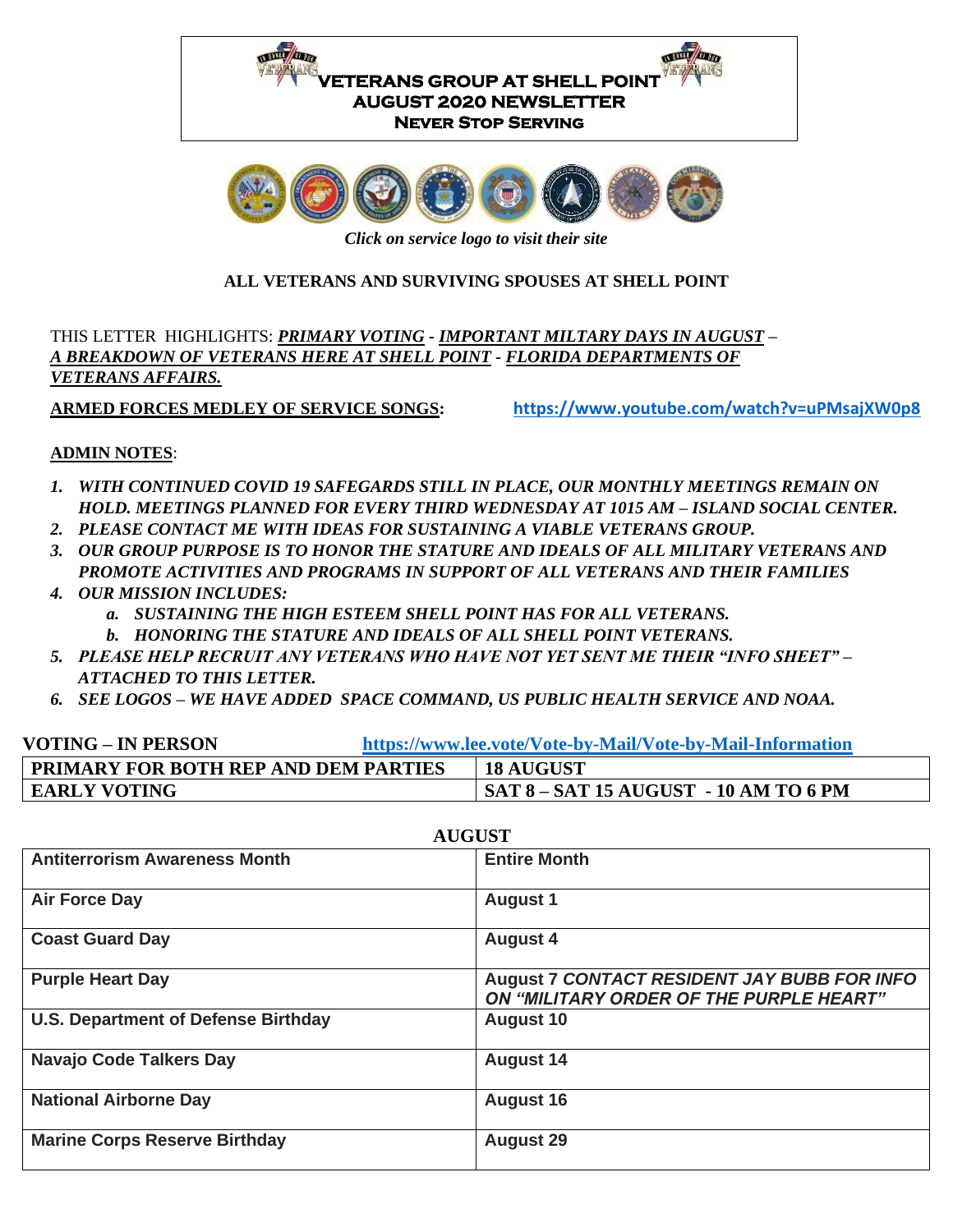



*Click on service logo to visit their site*

### **ALL VETERANS AND SURVIVING SPOUSES AT SHELL POINT**

THIS LETTER HIGHLIGHTS: *PRIMARY VOTING - IMPORTANT MILTARY DAYS IN AUGUST – A BREAKDOWN OF VETERANS HERE AT SHELL POINT - FLORIDA DEPARTMENTS OF VETERANS AFFAIRS.*

**ARMED FORCES MEDLEY OF SERVICE SONGS: <https://www.youtube.com/watch?v=uPMsajXW0p8>**

#### **ADMIN NOTES**:

- *1. WITH CONTINUED COVID 19 SAFEGARDS STILL IN PLACE, OUR MONTHLY MEETINGS REMAIN ON HOLD. MEETINGS PLANNED FOR EVERY THIRD WEDNESDAY AT 1015 AM – ISLAND SOCIAL CENTER.*
- *2. PLEASE CONTACT ME WITH IDEAS FOR SUSTAINING A VIABLE VETERANS GROUP.*
- *3. OUR GROUP PURPOSE IS TO HONOR THE STATURE AND IDEALS OF ALL MILITARY VETERANS AND PROMOTE ACTIVITIES AND PROGRAMS IN SUPPORT OF ALL VETERANS AND THEIR FAMILIES*
- *4. OUR MISSION INCLUDES:* 
	- *a. SUSTAINING THE HIGH ESTEEM SHELL POINT HAS FOR ALL VETERANS.*
	- *b. HONORING THE STATURE AND IDEALS OF ALL SHELL POINT VETERANS.*
- *5. PLEASE HELP RECRUIT ANY VETERANS WHO HAVE NOT YET SENT ME THEIR "INFO SHEET" – ATTACHED TO THIS LETTER.*
- *6. SEE LOGOS – WE HAVE ADDED SPACE COMMAND, US PUBLIC HEALTH SERVICE AND NOAA.*

| <b>VOTING – IN PERSON</b>                   | https://www.lee.vote/Vote-by-Mail/Vote-by-Mail-Information |                                              |  |
|---------------------------------------------|------------------------------------------------------------|----------------------------------------------|--|
| <b>PRIMARY FOR BOTH REP AND DEM PARTIES</b> |                                                            | <b>18 AUGUST</b>                             |  |
| <b>EARLY VOTING</b>                         |                                                            | <b>SAT 8 - SAT 15 AUGUST - 10 AM TO 6 PM</b> |  |

| <b>AUGUST</b>                              |                                                                                               |  |  |
|--------------------------------------------|-----------------------------------------------------------------------------------------------|--|--|
| <b>Antiterrorism Awareness Month</b>       | <b>Entire Month</b>                                                                           |  |  |
| <b>Air Force Day</b>                       | <b>August 1</b>                                                                               |  |  |
| <b>Coast Guard Day</b>                     | <b>August 4</b>                                                                               |  |  |
| <b>Purple Heart Day</b>                    | <b>August 7 CONTACT RESIDENT JAY BUBB FOR INFO</b><br>ON "MILITARY ORDER OF THE PURPLE HEART" |  |  |
| <b>U.S. Department of Defense Birthday</b> | <b>August 10</b>                                                                              |  |  |
| <b>Navajo Code Talkers Day</b>             | <b>August 14</b>                                                                              |  |  |
| <b>National Airborne Day</b>               | <b>August 16</b>                                                                              |  |  |
| <b>Marine Corps Reserve Birthday</b>       | <b>August 29</b>                                                                              |  |  |